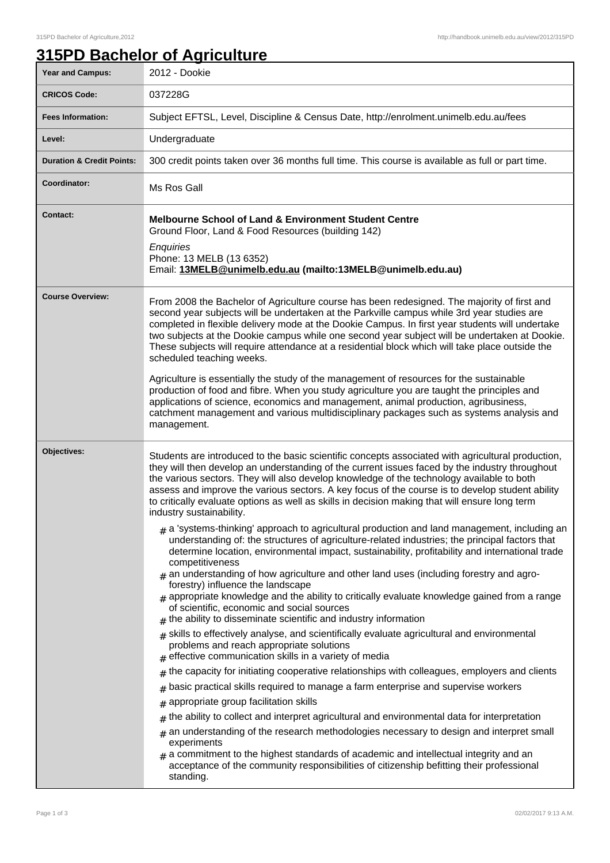## **315PD Bachelor of Agriculture**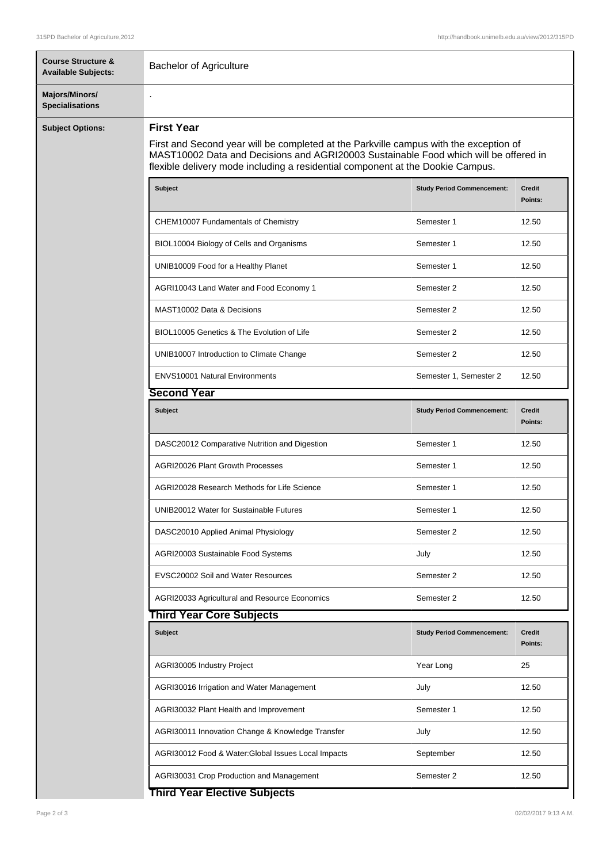| <b>Course Structure &amp;</b><br><b>Available Subjects:</b> | <b>Bachelor of Agriculture</b>                                                                                                                                                                                                                                                       |                                   |                          |  |
|-------------------------------------------------------------|--------------------------------------------------------------------------------------------------------------------------------------------------------------------------------------------------------------------------------------------------------------------------------------|-----------------------------------|--------------------------|--|
| Majors/Minors/<br><b>Specialisations</b>                    |                                                                                                                                                                                                                                                                                      |                                   |                          |  |
| <b>Subject Options:</b>                                     | <b>First Year</b><br>First and Second year will be completed at the Parkville campus with the exception of<br>MAST10002 Data and Decisions and AGRI20003 Sustainable Food which will be offered in<br>flexible delivery mode including a residential component at the Dookie Campus. |                                   |                          |  |
|                                                             | <b>Subject</b>                                                                                                                                                                                                                                                                       | <b>Study Period Commencement:</b> | <b>Credit</b><br>Points: |  |
|                                                             | CHEM10007 Fundamentals of Chemistry                                                                                                                                                                                                                                                  | Semester 1                        | 12.50                    |  |
|                                                             | BIOL10004 Biology of Cells and Organisms                                                                                                                                                                                                                                             | Semester 1                        | 12.50                    |  |
|                                                             | UNIB10009 Food for a Healthy Planet                                                                                                                                                                                                                                                  | Semester 1                        | 12.50                    |  |
|                                                             | AGRI10043 Land Water and Food Economy 1                                                                                                                                                                                                                                              | Semester 2                        | 12.50                    |  |
|                                                             | MAST10002 Data & Decisions                                                                                                                                                                                                                                                           | Semester 2                        | 12.50                    |  |
|                                                             | BIOL10005 Genetics & The Evolution of Life                                                                                                                                                                                                                                           | Semester 2                        | 12.50                    |  |
|                                                             | UNIB10007 Introduction to Climate Change                                                                                                                                                                                                                                             | Semester 2                        | 12.50                    |  |
|                                                             | ENVS10001 Natural Environments                                                                                                                                                                                                                                                       | Semester 1, Semester 2            | 12.50                    |  |
|                                                             | <b>Second Year</b>                                                                                                                                                                                                                                                                   |                                   |                          |  |
|                                                             | Subject                                                                                                                                                                                                                                                                              | <b>Study Period Commencement:</b> | <b>Credit</b><br>Points: |  |
|                                                             | DASC20012 Comparative Nutrition and Digestion                                                                                                                                                                                                                                        | Semester 1                        | 12.50                    |  |
|                                                             | <b>AGRI20026 Plant Growth Processes</b>                                                                                                                                                                                                                                              | Semester 1                        | 12.50                    |  |
|                                                             | AGRI20028 Research Methods for Life Science                                                                                                                                                                                                                                          | Semester 1                        | 12.50                    |  |
|                                                             | UNIB20012 Water for Sustainable Futures                                                                                                                                                                                                                                              | Semester 1                        | 12.50                    |  |
|                                                             | DASC20010 Applied Animal Physiology                                                                                                                                                                                                                                                  | Semester 2                        | 12.50                    |  |
|                                                             | AGRI20003 Sustainable Food Systems                                                                                                                                                                                                                                                   | July                              | 12.50                    |  |
|                                                             | EVSC20002 Soil and Water Resources                                                                                                                                                                                                                                                   | Semester 2                        | 12.50                    |  |
|                                                             | AGRI20033 Agricultural and Resource Economics                                                                                                                                                                                                                                        | Semester 2                        | 12.50                    |  |
|                                                             | <b>Third Year Core Subjects</b>                                                                                                                                                                                                                                                      |                                   |                          |  |
|                                                             | Subject                                                                                                                                                                                                                                                                              | <b>Study Period Commencement:</b> | <b>Credit</b><br>Points: |  |
|                                                             | AGRI30005 Industry Project                                                                                                                                                                                                                                                           | Year Long                         | 25                       |  |
|                                                             | AGRI30016 Irrigation and Water Management                                                                                                                                                                                                                                            | July                              | 12.50                    |  |
|                                                             | AGRI30032 Plant Health and Improvement                                                                                                                                                                                                                                               | Semester 1                        | 12.50                    |  |
|                                                             | AGRI30011 Innovation Change & Knowledge Transfer                                                                                                                                                                                                                                     | July                              | 12.50                    |  |
|                                                             | AGRI30012 Food & Water: Global Issues Local Impacts                                                                                                                                                                                                                                  | September                         | 12.50                    |  |
|                                                             | AGRI30031 Crop Production and Management                                                                                                                                                                                                                                             | Semester 2                        | 12.50                    |  |
|                                                             | <b>Third Year Elective Subjects</b>                                                                                                                                                                                                                                                  |                                   |                          |  |

## **Third Year Elective Subjects**